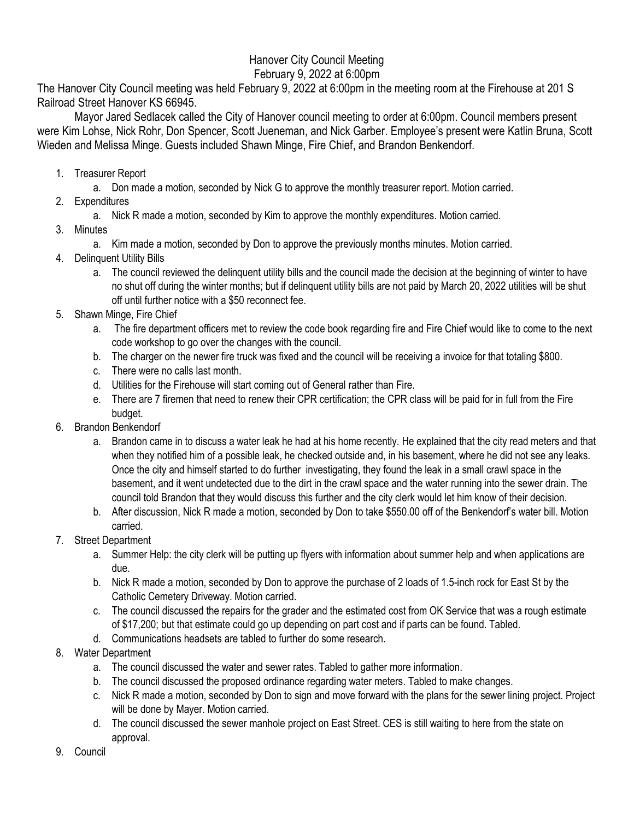## Hanover City Council Meeting February 9, 2022 at 6:00pm

The Hanover City Council meeting was held February 9, 2022 at 6:00pm in the meeting room at the Firehouse at 201 S Railroad Street Hanover KS 66945.

Mayor Jared Sedlacek called the City of Hanover council meeting to order at 6:00pm. Council members present were Kim Lohse, Nick Rohr, Don Spencer, Scott Jueneman, and Nick Garber. Employee's present were Katlin Bruna, Scott Wieden and Melissa Minge. Guests included Shawn Minge, Fire Chief, and Brandon Benkendorf.

- 1. Treasurer Report
	- a. Don made a motion, seconded by Nick G to approve the monthly treasurer report. Motion carried.
- 2. Expenditures
	- a. Nick R made a motion, seconded by Kim to approve the monthly expenditures. Motion carried.
- 3. Minutes
	- a. Kim made a motion, seconded by Don to approve the previously months minutes. Motion carried.
- 4. Delinquent Utility Bills
	- a. The council reviewed the delinquent utility bills and the council made the decision at the beginning of winter to have no shut off during the winter months; but if delinquent utility bills are not paid by March 20, 2022 utilities will be shut off until further notice with a \$50 reconnect fee.
- 5. Shawn Minge, Fire Chief
	- a. The fire department officers met to review the code book regarding fire and Fire Chief would like to come to the next code workshop to go over the changes with the council.
	- b. The charger on the newer fire truck was fixed and the council will be receiving a invoice for that totaling \$800.
	- c. There were no calls last month.
	- d. Utilities for the Firehouse will start coming out of General rather than Fire.
	- e. There are 7 firemen that need to renew their CPR certification; the CPR class will be paid for in full from the Fire budget.
- 6. Brandon Benkendorf
	- a. Brandon came in to discuss a water leak he had at his home recently. He explained that the city read meters and that when they notified him of a possible leak, he checked outside and, in his basement, where he did not see any leaks. Once the city and himself started to do further investigating, they found the leak in a small crawl space in the basement, and it went undetected due to the dirt in the crawl space and the water running into the sewer drain. The council told Brandon that they would discuss this further and the city clerk would let him know of their decision.
	- b. After discussion, Nick R made a motion, seconded by Don to take \$550.00 off of the Benkendorf's water bill. Motion carried.
- 7. Street Department
	- a. Summer Help: the city clerk will be putting up flyers with information about summer help and when applications are due.
	- b. Nick R made a motion, seconded by Don to approve the purchase of 2 loads of 1.5-inch rock for East St by the Catholic Cemetery Driveway. Motion carried.
	- c. The council discussed the repairs for the grader and the estimated cost from OK Service that was a rough estimate of \$17,200; but that estimate could go up depending on part cost and if parts can be found. Tabled.
	- d. Communications headsets are tabled to further do some research.
- 8. Water Department
	- a. The council discussed the water and sewer rates. Tabled to gather more information.
	- b. The council discussed the proposed ordinance regarding water meters. Tabled to make changes.
	- c. Nick R made a motion, seconded by Don to sign and move forward with the plans for the sewer lining project. Project will be done by Mayer. Motion carried.
	- d. The council discussed the sewer manhole project on East Street. CES is still waiting to here from the state on approval.
- 9. Council